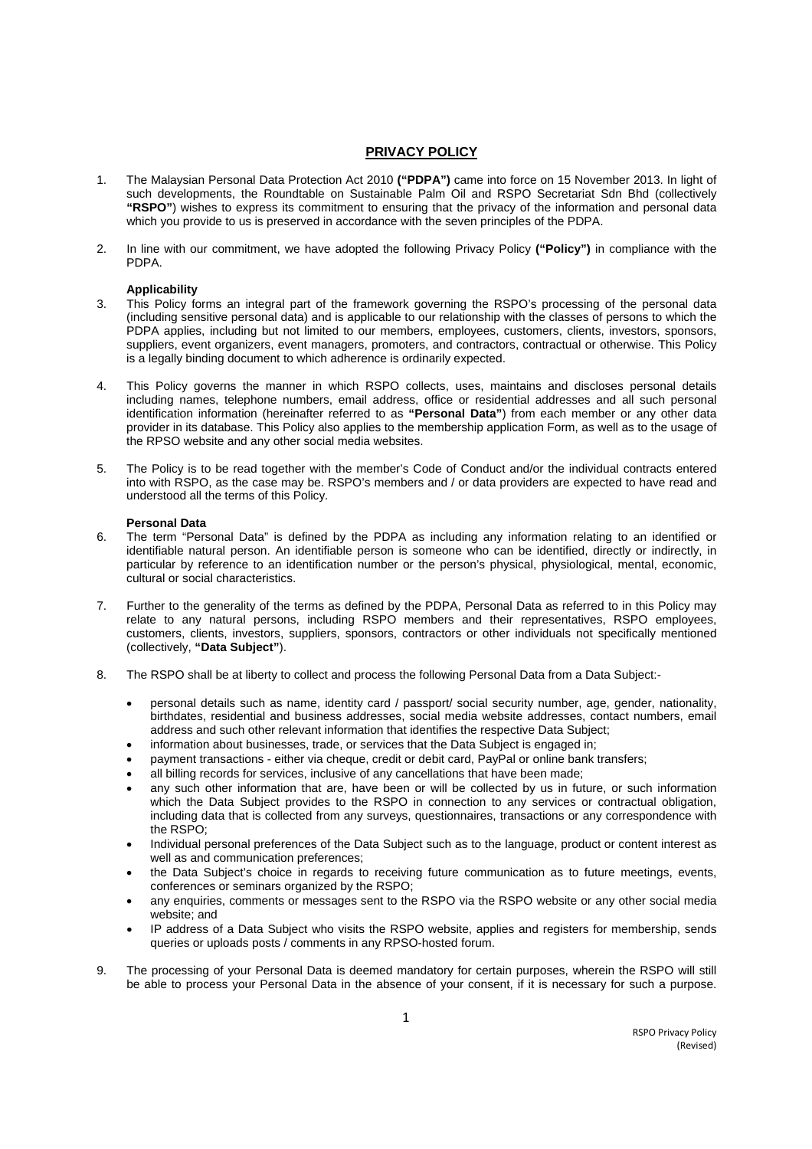# **PRIVACY POLICY**

- 1. The Malaysian Personal Data Protection Act 2010 **("PDPA")** came into force on 15 November 2013. In light of such developments, the Roundtable on Sustainable Palm Oil and RSPO Secretariat Sdn Bhd (collectively **"RSPO"**) wishes to express its commitment to ensuring that the privacy of the information and personal data which you provide to us is preserved in accordance with the seven principles of the PDPA.
- 2. In line with our commitment, we have adopted the following Privacy Policy **("Policy")** in compliance with the PDPA.

## **Applicability**

- 3. This Policy forms an integral part of the framework governing the RSPO's processing of the personal data (including sensitive personal data) and is applicable to our relationship with the classes of persons to which the PDPA applies, including but not limited to our members, employees, customers, clients, investors, sponsors, suppliers, event organizers, event managers, promoters, and contractors, contractual or otherwise. This Policy is a legally binding document to which adherence is ordinarily expected.
- 4. This Policy governs the manner in which RSPO collects, uses, maintains and discloses personal details including names, telephone numbers, email address, office or residential addresses and all such personal identification information (hereinafter referred to as **"Personal Data"**) from each member or any other data provider in its database. This Policy also applies to the membership application Form, as well as to the usage of the RPSO website and any other social media websites.
- 5. The Policy is to be read together with the member's Code of Conduct and/or the individual contracts entered into with RSPO, as the case may be. RSPO's members and / or data providers are expected to have read and understood all the terms of this Policy.

#### **Personal Data**

- 6. The term "Personal Data" is defined by the PDPA as including any information relating to an identified or identifiable natural person. An identifiable person is someone who can be identified, directly or indirectly, in particular by reference to an identification number or the person's physical, physiological, mental, economic, cultural or social characteristics.
- 7. Further to the generality of the terms as defined by the PDPA, Personal Data as referred to in this Policy may relate to any natural persons, including RSPO members and their representatives, RSPO employees, customers, clients, investors, suppliers, sponsors, contractors or other individuals not specifically mentioned (collectively, **"Data Subject"**).
- 8. The RSPO shall be at liberty to collect and process the following Personal Data from a Data Subject:
	- personal details such as name, identity card / passport/ social security number, age, gender, nationality, birthdates, residential and business addresses, social media website addresses, contact numbers, email address and such other relevant information that identifies the respective Data Subject;
	- information about businesses, trade, or services that the Data Subject is engaged in;
	- payment transactions either via cheque, credit or debit card, PayPal or online bank transfers;
	- all billing records for services, inclusive of any cancellations that have been made;
	- any such other information that are, have been or will be collected by us in future, or such information which the Data Subject provides to the RSPO in connection to any services or contractual obligation, including data that is collected from any surveys, questionnaires, transactions or any correspondence with the RSPO;
	- Individual personal preferences of the Data Subject such as to the language, product or content interest as well as and communication preferences;
	- the Data Subject's choice in regards to receiving future communication as to future meetings, events, conferences or seminars organized by the RSPO;
	- any enquiries, comments or messages sent to the RSPO via the RSPO website or any other social media website; and
	- IP address of a Data Subject who visits the RSPO website, applies and registers for membership, sends queries or uploads posts / comments in any RPSO-hosted forum.
- 9. The processing of your Personal Data is deemed mandatory for certain purposes, wherein the RSPO will still be able to process your Personal Data in the absence of your consent, if it is necessary for such a purpose.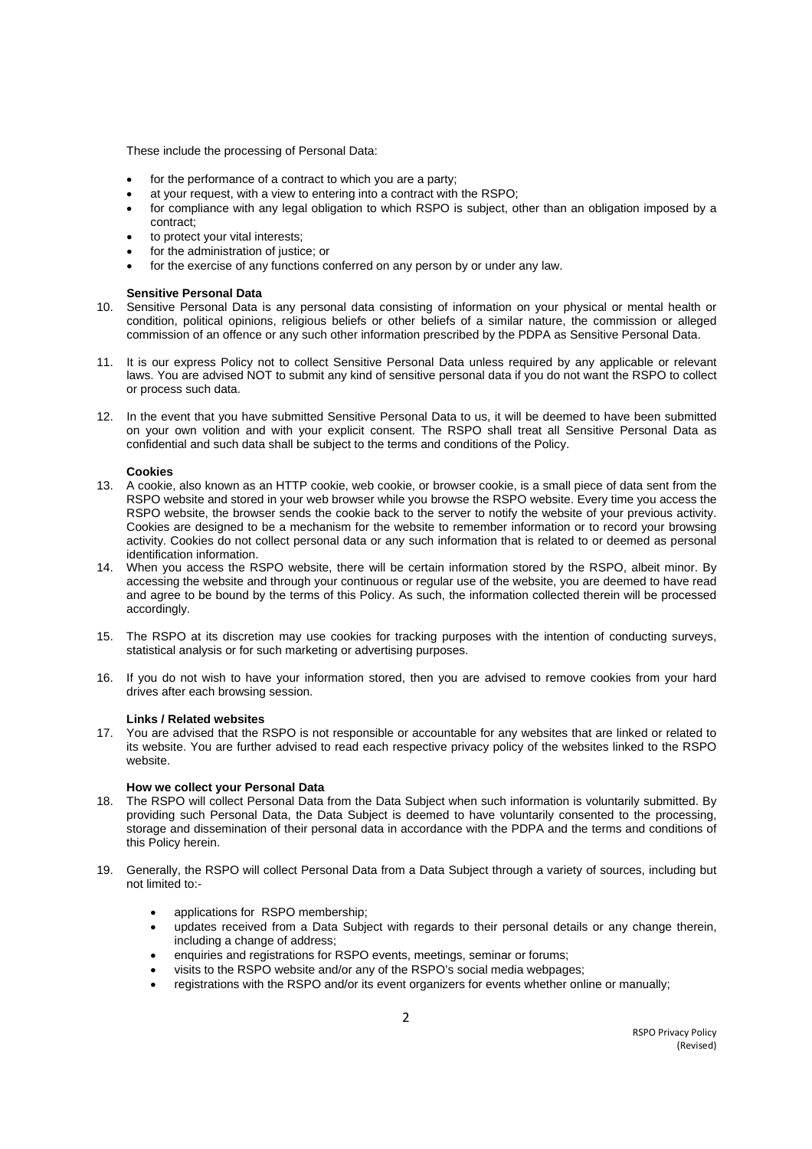These include the processing of Personal Data:

- for the performance of a contract to which you are a party;
- at your request, with a view to entering into a contract with the RSPO;
- for compliance with any legal obligation to which RSPO is subject, other than an obligation imposed by a contract;
- to protect your vital interests;
- for the administration of justice; or
- for the exercise of any functions conferred on any person by or under any law.

## **Sensitive Personal Data**

- 10. Sensitive Personal Data is any personal data consisting of information on your physical or mental health or condition, political opinions, religious beliefs or other beliefs of a similar nature, the commission or alleged commission of an offence or any such other information prescribed by the PDPA as Sensitive Personal Data.
- 11. It is our express Policy not to collect Sensitive Personal Data unless required by any applicable or relevant laws. You are advised NOT to submit any kind of sensitive personal data if you do not want the RSPO to collect or process such data.
- 12. In the event that you have submitted Sensitive Personal Data to us, it will be deemed to have been submitted on your own volition and with your explicit consent. The RSPO shall treat all Sensitive Personal Data as confidential and such data shall be subject to the terms and conditions of the Policy.

#### **Cookies**

- 13. A cookie, also known as an HTTP cookie, web cookie, or browser cookie, is a small piece of data sent from the RSPO website and stored in your web browser while you browse the RSPO website. Every time you access the RSPO website, the browser sends the cookie back to the server to notify the website of your previous activity. Cookies are designed to be a mechanism for the website to remember information or to record your browsing activity. Cookies do not collect personal data or any such information that is related to or deemed as personal identification information.
- 14. When you access the RSPO website, there will be certain information stored by the RSPO, albeit minor. By accessing the website and through your continuous or regular use of the website, you are deemed to have read and agree to be bound by the terms of this Policy. As such, the information collected therein will be processed accordingly.
- 15. The RSPO at its discretion may use cookies for tracking purposes with the intention of conducting surveys, statistical analysis or for such marketing or advertising purposes.
- 16. If you do not wish to have your information stored, then you are advised to remove cookies from your hard drives after each browsing session.

#### **Links / Related websites**

17. You are advised that the RSPO is not responsible or accountable for any websites that are linked or related to its website. You are further advised to read each respective privacy policy of the websites linked to the RSPO website.

#### **How we collect your Personal Data**

- 18. The RSPO will collect Personal Data from the Data Subject when such information is voluntarily submitted. By providing such Personal Data, the Data Subject is deemed to have voluntarily consented to the processing, storage and dissemination of their personal data in accordance with the PDPA and the terms and conditions of this Policy herein.
- 19. Generally, the RSPO will collect Personal Data from a Data Subject through a variety of sources, including but not limited to:
	- applications for RSPO membership;
	- updates received from a Data Subject with regards to their personal details or any change therein, including a change of address;
	- enquiries and registrations for RSPO events, meetings, seminar or forums;
	- visits to the RSPO website and/or any of the RSPO's social media webpages;
	- registrations with the RSPO and/or its event organizers for events whether online or manually;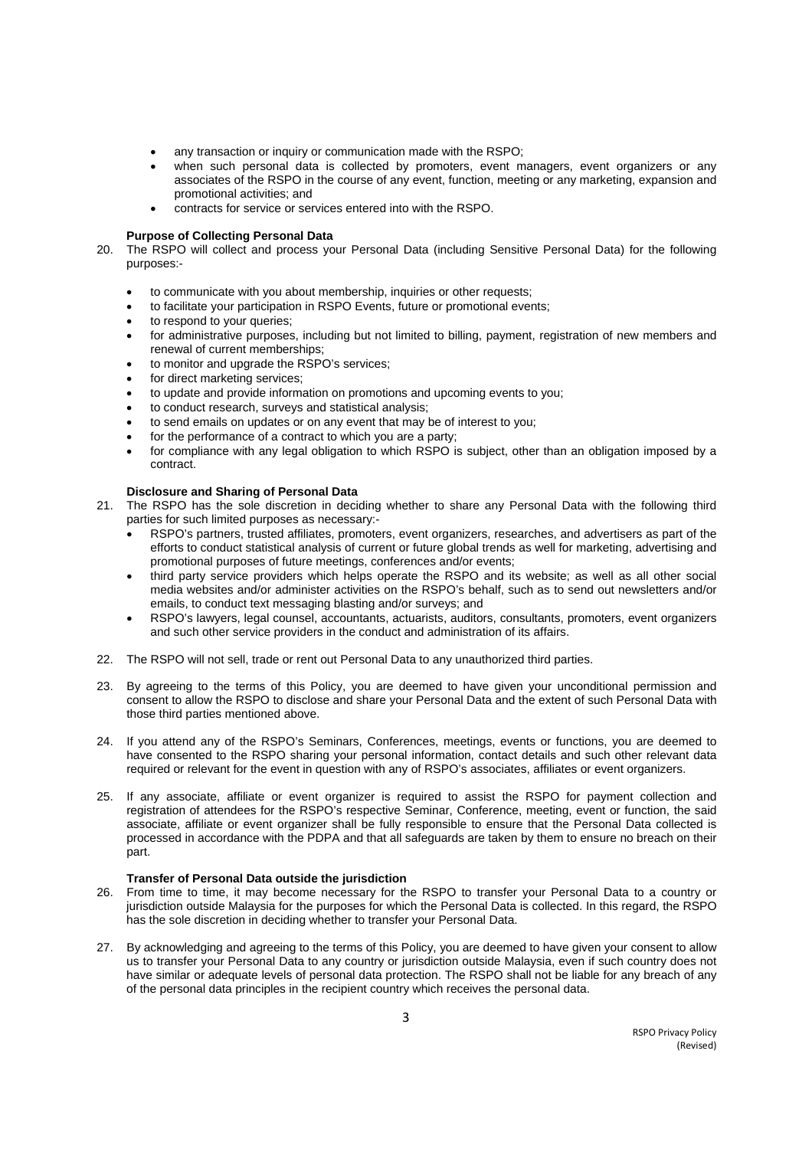- any transaction or inquiry or communication made with the RSPO;
- when such personal data is collected by promoters, event managers, event organizers or any associates of the RSPO in the course of any event, function, meeting or any marketing, expansion and promotional activities; and
- contracts for service or services entered into with the RSPO.

# **Purpose of Collecting Personal Data**

- 20. The RSPO will collect and process your Personal Data (including Sensitive Personal Data) for the following purposes:
	- to communicate with you about membership, inquiries or other requests;
	- to facilitate your participation in RSPO Events, future or promotional events;
	- to respond to your queries;
	- for administrative purposes, including but not limited to billing, payment, registration of new members and renewal of current memberships;
	- to monitor and upgrade the RSPO's services;
	- for direct marketing services;
	- to update and provide information on promotions and upcoming events to you;
	- to conduct research, surveys and statistical analysis;
	- to send emails on updates or on any event that may be of interest to you;
	- for the performance of a contract to which you are a party;
	- for compliance with any legal obligation to which RSPO is subject, other than an obligation imposed by a contract.

## **Disclosure and Sharing of Personal Data**

- 21. The RSPO has the sole discretion in deciding whether to share any Personal Data with the following third parties for such limited purposes as necessary:-
	- RSPO's partners, trusted affiliates, promoters, event organizers, researches, and advertisers as part of the efforts to conduct statistical analysis of current or future global trends as well for marketing, advertising and promotional purposes of future meetings, conferences and/or events;
	- third party service providers which helps operate the RSPO and its website; as well as all other social media websites and/or administer activities on the RSPO's behalf, such as to send out newsletters and/or emails, to conduct text messaging blasting and/or surveys; and
	- RSPO's lawyers, legal counsel, accountants, actuarists, auditors, consultants, promoters, event organizers and such other service providers in the conduct and administration of its affairs.
- 22. The RSPO will not sell, trade or rent out Personal Data to any unauthorized third parties.
- 23. By agreeing to the terms of this Policy, you are deemed to have given your unconditional permission and consent to allow the RSPO to disclose and share your Personal Data and the extent of such Personal Data with those third parties mentioned above.
- 24. If you attend any of the RSPO's Seminars, Conferences, meetings, events or functions, you are deemed to have consented to the RSPO sharing your personal information, contact details and such other relevant data required or relevant for the event in question with any of RSPO's associates, affiliates or event organizers.
- 25. If any associate, affiliate or event organizer is required to assist the RSPO for payment collection and registration of attendees for the RSPO's respective Seminar, Conference, meeting, event or function, the said associate, affiliate or event organizer shall be fully responsible to ensure that the Personal Data collected is processed in accordance with the PDPA and that all safeguards are taken by them to ensure no breach on their part.

#### **Transfer of Personal Data outside the jurisdiction**

- 26. From time to time, it may become necessary for the RSPO to transfer your Personal Data to a country or jurisdiction outside Malaysia for the purposes for which the Personal Data is collected. In this regard, the RSPO has the sole discretion in deciding whether to transfer your Personal Data.
- 27. By acknowledging and agreeing to the terms of this Policy, you are deemed to have given your consent to allow us to transfer your Personal Data to any country or jurisdiction outside Malaysia, even if such country does not have similar or adequate levels of personal data protection. The RSPO shall not be liable for any breach of any of the personal data principles in the recipient country which receives the personal data.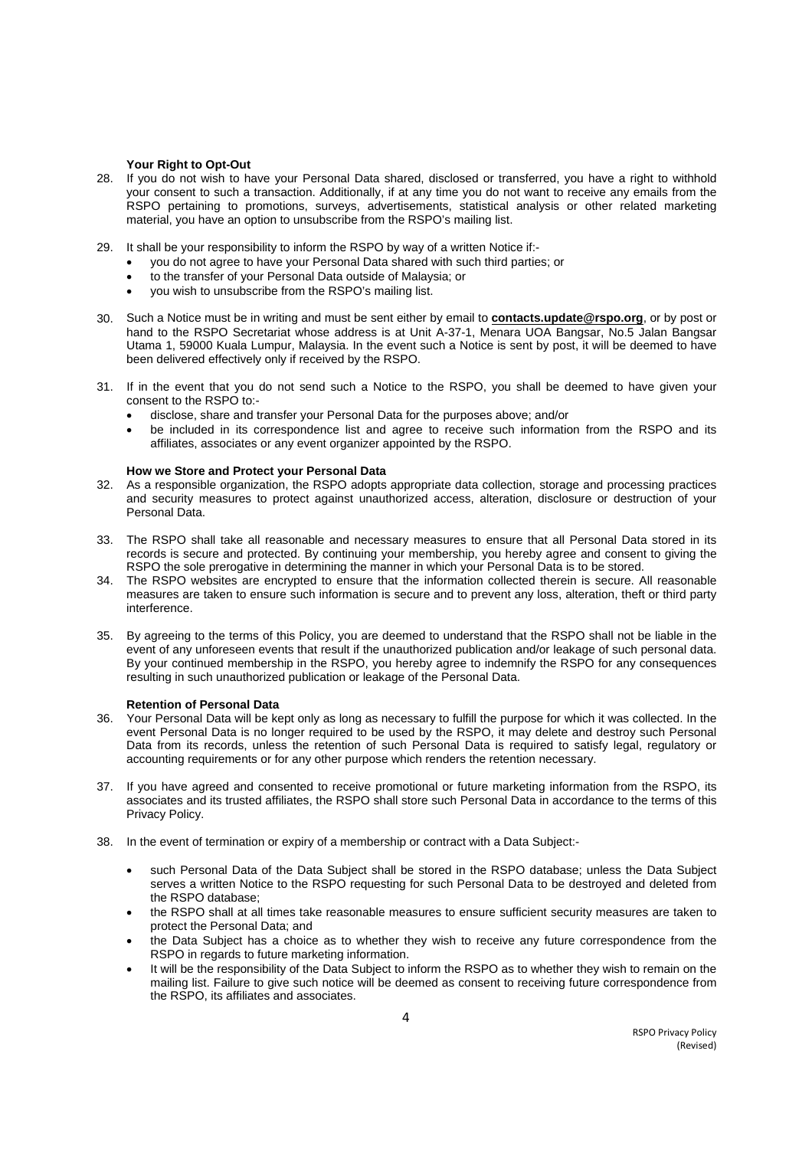#### **Your Right to Opt-Out**

- 28. If you do not wish to have your Personal Data shared, disclosed or transferred, you have a right to withhold your consent to such a transaction. Additionally, if at any time you do not want to receive any emails from the RSPO pertaining to promotions, surveys, advertisements, statistical analysis or other related marketing material, you have an option to unsubscribe from the RSPO's mailing list.
- 29. It shall be your responsibility to inform the RSPO by way of a written Notice if:
	- you do not agree to have your Personal Data shared with such third parties; or
	- to the transfer of your Personal Data outside of Malaysia; or
	- you wish to unsubscribe from the RSPO's mailing list.
- 30. Such a Notice must be in writing and must be sent either by email to **contacts.update@rspo.org**, or by post or hand to the RSPO Secretariat whose address is at Unit A-37-1, Menara UOA Bangsar, No.5 Jalan Bangsar Utama 1, 59000 Kuala Lumpur, Malaysia. In the event such a Notice is sent by post, it will be deemed to have been delivered effectively only if received by the RSPO.
- 31. If in the event that you do not send such a Notice to the RSPO, you shall be deemed to have given your consent to the RSPO to:
	- disclose, share and transfer your Personal Data for the purposes above; and/or
	- be included in its correspondence list and agree to receive such information from the RSPO and its affiliates, associates or any event organizer appointed by the RSPO.

## **How we Store and Protect your Personal Data**

- 32. As a responsible organization, the RSPO adopts appropriate data collection, storage and processing practices and security measures to protect against unauthorized access, alteration, disclosure or destruction of your Personal Data.
- 33. The RSPO shall take all reasonable and necessary measures to ensure that all Personal Data stored in its records is secure and protected. By continuing your membership, you hereby agree and consent to giving the RSPO the sole prerogative in determining the manner in which your Personal Data is to be stored.
- 34. The RSPO websites are encrypted to ensure that the information collected therein is secure. All reasonable measures are taken to ensure such information is secure and to prevent any loss, alteration, theft or third party interference.
- 35. By agreeing to the terms of this Policy, you are deemed to understand that the RSPO shall not be liable in the event of any unforeseen events that result if the unauthorized publication and/or leakage of such personal data. By your continued membership in the RSPO, you hereby agree to indemnify the RSPO for any consequences resulting in such unauthorized publication or leakage of the Personal Data.

#### **Retention of Personal Data**

- 36. Your Personal Data will be kept only as long as necessary to fulfill the purpose for which it was collected. In the event Personal Data is no longer required to be used by the RSPO, it may delete and destroy such Personal Data from its records, unless the retention of such Personal Data is required to satisfy legal, regulatory or accounting requirements or for any other purpose which renders the retention necessary.
- 37. If you have agreed and consented to receive promotional or future marketing information from the RSPO, its associates and its trusted affiliates, the RSPO shall store such Personal Data in accordance to the terms of this Privacy Policy.
- 38. In the event of termination or expiry of a membership or contract with a Data Subject:
	- such Personal Data of the Data Subject shall be stored in the RSPO database; unless the Data Subject serves a written Notice to the RSPO requesting for such Personal Data to be destroyed and deleted from the RSPO database;
	- the RSPO shall at all times take reasonable measures to ensure sufficient security measures are taken to protect the Personal Data; and
	- the Data Subject has a choice as to whether they wish to receive any future correspondence from the RSPO in regards to future marketing information.
	- It will be the responsibility of the Data Subject to inform the RSPO as to whether they wish to remain on the mailing list. Failure to give such notice will be deemed as consent to receiving future correspondence from the RSPO, its affiliates and associates.